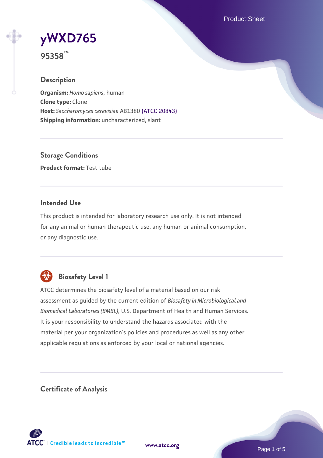Product Sheet

# **[yWXD765](https://www.atcc.org/products/95358)**

**95358™**

# **Description**

**Organism:** *Homo sapiens*, human **Clone type:** Clone **Host:** *Saccharomyces cerevisiae* AB1380 [\(ATCC 20843\)](https://www.atcc.org/products/20843) **Shipping information:** uncharacterized, slant

**Storage Conditions Product format:** Test tube

### **Intended Use**

This product is intended for laboratory research use only. It is not intended for any animal or human therapeutic use, any human or animal consumption, or any diagnostic use.



# **Biosafety Level 1**

ATCC determines the biosafety level of a material based on our risk assessment as guided by the current edition of *Biosafety in Microbiological and Biomedical Laboratories (BMBL)*, U.S. Department of Health and Human Services. It is your responsibility to understand the hazards associated with the material per your organization's policies and procedures as well as any other applicable regulations as enforced by your local or national agencies.

**Certificate of Analysis**

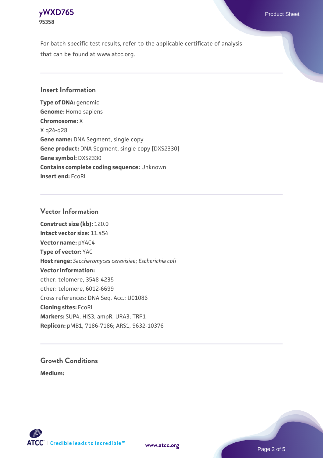

For batch-specific test results, refer to the applicable certificate of analysis that can be found at www.atcc.org.

#### **Insert Information**

**Type of DNA:** genomic **Genome:** Homo sapiens **Chromosome:** X X q24-q28 **Gene name:** DNA Segment, single copy **Gene product:** DNA Segment, single copy [DXS2330] **Gene symbol:** DXS2330 **Contains complete coding sequence:** Unknown **Insert end:** EcoRI

#### **Vector Information**

**Construct size (kb):** 120.0 **Intact vector size:** 11.454 **Vector name:** pYAC4 **Type of vector:** YAC **Host range:** *Saccharomyces cerevisiae*; *Escherichia coli* **Vector information:** other: telomere, 3548-4235 other: telomere, 6012-6699 Cross references: DNA Seq. Acc.: U01086 **Cloning sites:** EcoRI **Markers:** SUP4; HIS3; ampR; URA3; TRP1 **Replicon:** pMB1, 7186-7186; ARS1, 9632-10376

# **Growth Conditions**

**Medium:** 



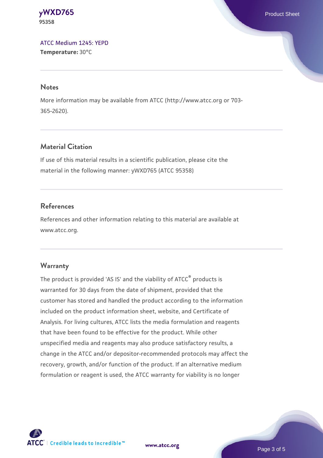**[yWXD765](https://www.atcc.org/products/95358)** Product Sheet **95358**

[ATCC Medium 1245: YEPD](https://www.atcc.org/-/media/product-assets/documents/microbial-media-formulations/1/2/4/5/atcc-medium-1245.pdf?rev=705ca55d1b6f490a808a965d5c072196) **Temperature:** 30°C

#### **Notes**

More information may be available from ATCC (http://www.atcc.org or 703- 365-2620).

### **Material Citation**

If use of this material results in a scientific publication, please cite the material in the following manner: yWXD765 (ATCC 95358)

### **References**

References and other information relating to this material are available at www.atcc.org.

#### **Warranty**

The product is provided 'AS IS' and the viability of ATCC® products is warranted for 30 days from the date of shipment, provided that the customer has stored and handled the product according to the information included on the product information sheet, website, and Certificate of Analysis. For living cultures, ATCC lists the media formulation and reagents that have been found to be effective for the product. While other unspecified media and reagents may also produce satisfactory results, a change in the ATCC and/or depositor-recommended protocols may affect the recovery, growth, and/or function of the product. If an alternative medium formulation or reagent is used, the ATCC warranty for viability is no longer



**[www.atcc.org](http://www.atcc.org)**

Page 3 of 5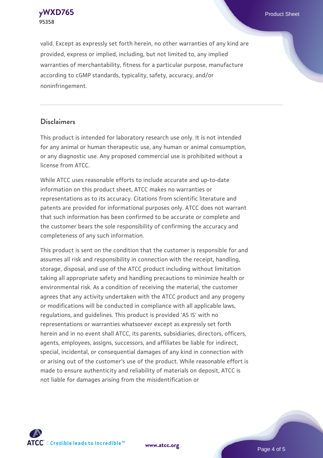**[yWXD765](https://www.atcc.org/products/95358)** Product Sheet **95358**

valid. Except as expressly set forth herein, no other warranties of any kind are provided, express or implied, including, but not limited to, any implied warranties of merchantability, fitness for a particular purpose, manufacture according to cGMP standards, typicality, safety, accuracy, and/or noninfringement.

#### **Disclaimers**

This product is intended for laboratory research use only. It is not intended for any animal or human therapeutic use, any human or animal consumption, or any diagnostic use. Any proposed commercial use is prohibited without a license from ATCC.

While ATCC uses reasonable efforts to include accurate and up-to-date information on this product sheet, ATCC makes no warranties or representations as to its accuracy. Citations from scientific literature and patents are provided for informational purposes only. ATCC does not warrant that such information has been confirmed to be accurate or complete and the customer bears the sole responsibility of confirming the accuracy and completeness of any such information.

This product is sent on the condition that the customer is responsible for and assumes all risk and responsibility in connection with the receipt, handling, storage, disposal, and use of the ATCC product including without limitation taking all appropriate safety and handling precautions to minimize health or environmental risk. As a condition of receiving the material, the customer agrees that any activity undertaken with the ATCC product and any progeny or modifications will be conducted in compliance with all applicable laws, regulations, and guidelines. This product is provided 'AS IS' with no representations or warranties whatsoever except as expressly set forth herein and in no event shall ATCC, its parents, subsidiaries, directors, officers, agents, employees, assigns, successors, and affiliates be liable for indirect, special, incidental, or consequential damages of any kind in connection with or arising out of the customer's use of the product. While reasonable effort is made to ensure authenticity and reliability of materials on deposit, ATCC is not liable for damages arising from the misidentification or



**[www.atcc.org](http://www.atcc.org)**

Page 4 of 5